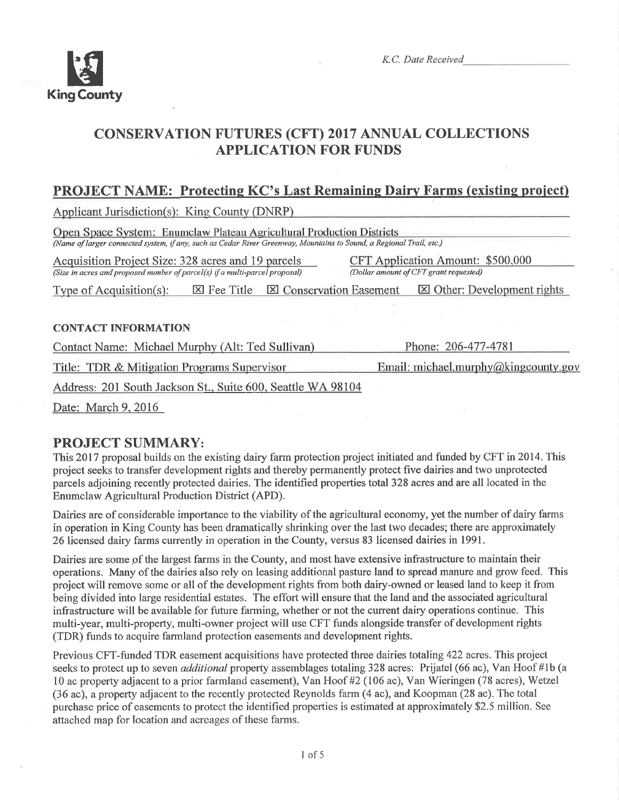

K.C. Date Received

# CONSERVATTON FUTURES (CFT) 2017 ANNUAL COLLECTIONS APPLICATION FOR FUNDS

# PROJECT NAME: Protecting KC's Last Remaining Dairy Farms (existing project)

Applicant Jurisdiction(s): King County (DNRP)

Open Space System: Enumclaw Plateau Agricultural Production Districts (Name of larger connected system, if any, such as Cedar River Greenway, Mountains to Sound, a Regional Trail, etc.) Acquisition Project Size: 328 acres and 19 parcels CFT Application Amount: \$500,000<br>(Size in acres and proposed number of parcel(s) if a multi-parcel proposal) (Dollar amount of CFT grant requested) (Size in acres and proposed number of parcel(s) if a multi-parcel proposal) Type of Acquisition(s):  $\boxtimes$  Fee Title  $\boxtimes$  Conservation Easement  $\boxtimes$  Other: Development rights

## CONTACT INFORMATION

Contact Name: Michael Murphy (Alt: Ted Sullivan) Phone: 206-477-4781

Title: TDR & Mitigation Programs Supervisor

Email: michael.murphy@kingcounty.gov

Address: 201 South Jackson St.. Suite 600. Seattle WA 98104

Date: March 9. 2016

# PROJECT SUMMARY:

This 2017 proposal builds on the existing dairy farm protection project initiated and funded by CFT in 2014. This project seeks to transfer development rights and thereby permanently protect five dairies and two unprotected parcels adjoining recently protected dairies. The identified properties total 328 acres and are all located in the Enumclaw Agricultural Production District (APD).

Dairies are of considerable importance to the viability of the agricultural economy, yet the number of dairy farms in operation in King County has been dramatically shrinking over the last two decades; there are approximately 26 licensed dairy farms currently in operation in the County, versus 83 licensed dairies in 1991.

Dairies are some of the largest farms in the County, and most have extensive infrastructure to maintain their operations. Many of the dairies also rely on leasing additional pasture land to spread manure and grow feed. This project will remove some or all of the development rights from both dairy-owned or leased land to keep it from being divided into large residential estates. The effort will ensure that the land and the associated agricultural infrastructure will be available for future farming, whether or not the current dairy operations continue. This multi-year, multi-property, multi-owner project will use CFT funds alongside transfer of development rights (TDR) funds to acquire farmland protection easements and development rights.

Previous CFT-funded TDR easement acquisitions have protected three dairies totaling 422 acres. This project seeks to protect up to seven *additional* property assemblages totaling 328 acres: Prijatel (66 ac), Van Hoof #1b (a 10 ac property adjacent to a prior farmland easement), Van Hoof #2 (106 ac), Van Wieringen (78 acres), Wetzel (36 ac), a property adjacent to the recently protected Reynolds farm (4 ac), and Koopman (28 ac). The total purchase price of easements to protect the identified properties is estimated at approximately \$2.5 million. See attached map for location and acreages of these farms.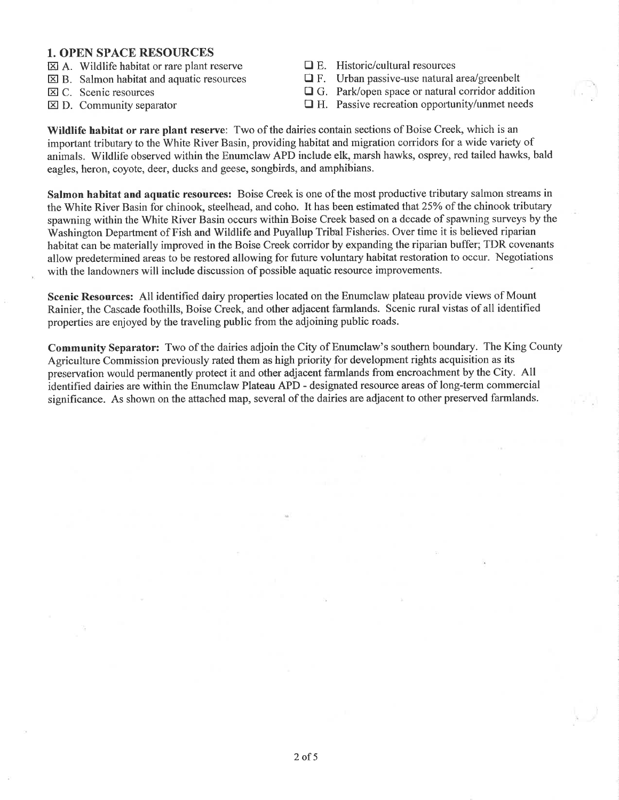#### 1. OPEN SPACE RESOURCES

- $\boxtimes$  A. Wildlife habitat or rare plant reserve
- $\boxtimes$  B. Salmon habitat and aquatic resources
- $\boxtimes$  C. Scenic resources
- $\boxtimes$  D. Community separator
- $\Box$  E. Historic/cultural resources
- $\Box$  F. Urban passive-use natural area/greenbelt
- $\Box$  G. Park/open space or natural corridor addition
- $\Box$  H. Passive recreation opportunity/unmet needs

Wildlife habitat or rare plant reserve: Two of the dairies contain sections of Boise Creek, which is an important tributary to the White River Basin, providing habitat and migration corridors for a wide variety of animals. Wildlife observed within the Enumclaw APD include elk, marsh hawks, osprey, red tailed hawks, bald eagles, heron, coyote, deer, ducks and geese, songbirds, and amphibians.

Salmon habitat and aquatic resources: Boise Creek is one of the most productive tributary salmon streams in the White River Basin for chinook, steelhead, and coho. It has been estimated that 25% of the chinook tributary spawning within the White River Basin occurs within Boise Creek based on a decade of spawning surveys by the Washington Department of Fish and Wildlife and Puyallup Tribal Fisheries. Over time it is believed riparian habitat can be materially improved in the Boise Creek corridor by expanding the riparian buffer; TDR covenants allow predetermined areas to be restored allowing for future voluntary habitat restoration to occur. Negotiations with the landowners will include discussion of possible aquatic resource improvements.

Scenic Resources: All identified dairy properties located on the Enumclaw plateau provide views of Mount Rainier, the Cascade foothills, Boise Creek, and other adjacent farmlands. Scenic rural vistas of all identified properties are enjoyed by the traveling public from the adjoining public roads.

Community Separator: Two of the dairies adjoin the City of Enumclaw's southern boundary. The King County Agriculture Commission previously rated them as high priority for development rights acquisition as its preservation would permanently protect it and other adjacent farmlands from encroachment by the City. All identified dairies are within the Enumclaw Plateau APD - designated resource areas of long-term commercial significance. As shown on the attached map, several of the dairies are adjacent to other preserved farmlands.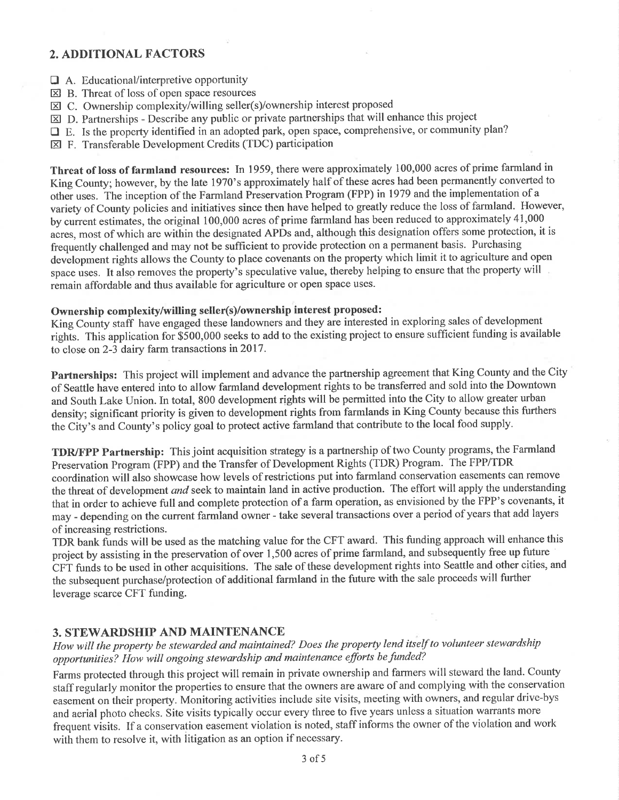## 2. ADDITIONAL FACTORS

- $\Box$  A. Educational/interpretive opportunity
- $\boxtimes$  B. Threat of loss of open space resources
- $\boxtimes$  C. Ownership complexity/willing seller(s)/ownership interest proposed
- $\boxtimes$  D. Partnerships Describe any public or private partnerships that will enhance this project
- $\Box$  E. Is the property identified in an adopted park, open space, comprehensive, or community plan?
- E F. Transferable Development Credits (TDC) participation

Threat of loss of farmland resources: In 1959, there were approximately 100,000 acres of prime farmland in King County; however, by the late 1970's approximately half of these acres had been permanently converted to other uses. The inception of the Farmland Preservation Program (FPP) in 1979 and the implementation of a variety of County policies and initiatives since then have helped to greatly reduce the loss of farmland. However, by current estimates, the original 100,000 acres of prime farmland has been reduced to approximately 41,000 acres, most of which are within the designated APDs and, although this designation offers some protection, it is frequently challenged and may not be sufficient to provide protection on a permanent basis. Purchasing development rights allows the County to place covenants on the property which limit it to agriculture and open space uses. It also removes the property's speculative value, thereby helping to ensure that the property will remain affordable and thus available for agriculture or open space uses.

#### Ownership complexity/willing seller(s)/ownership interest proposed:

King County staff have engaged these landowners and they are interested in exploring sales of development righis. This application for \$500,000 seeks to add to the existing project to ensure sufficient funding is available to close on 2-3 dairy farm transactions in 2017.

Partnerships: This project will implement and advance the partnership agreement that King County and the City of Seattle háve entered into to allow farmland development rights to be transferred and sold into the Downtown and South Lake Union. In total, 800 development rights will be permitted into the City to allow greater urban density; significant priority is given to development rights from farmlands in King County because this furthers the City's and County's policy goal to protect active farmland that contribute to the local food supply.

TDRyFPP Partnership: This joint acquisition strategy is a partnership of two County programs, the Farmland Preservation Program (FPP) and the Transfer of Development Rights (TDR) Program. The FPP/TDR coordination will also showcase how levels of restrictions put into farmland conseruation easements can remove the threat of development and seek to maintain land in active production. The effort will apply the understanding that in order to achiève full and complete protection of a farm operation, as envisioned by the FPP's covenants, it may - depending on the current farmland owner - take several transactions over a period of years that add layers of increasing restrictions.

TDR bank funds will be used as the matching value for the CFT award. This funding approach will enhance this project by assisting in the preservation of over 1,500 acres of prime farmland, and subsequently free up future CFT funds to be used in other acquisitions. The sale of these development rights into Seattle and other cities, and the subsequent purchase/protection of additional farmland in the future with the sale proceeds will further leverage scarce CFT funding.

## 3. STEWARDSHIP AND MAINTENANCE

How will the property be stewarded and maintained? Does the property lend itself to volunteer stewardship opportunities? How will ongoing stewardship and maintenance efforts be funded?

Farms protected through this project will remain in private ownership and farmers will steward the land. County staff regularly monitor the properties to ensure that the owners are aware of and complying with the conservation easement on their property. Monitoring activities include site visits, meeting with owners, and regular drive-bys and aerial photo checks. Site visits typically occur every three to five years unless a situation warrants more frequent visits. If a conservation easement violation is noted, staff informs the owner of the violation and work with them to resolve it, with litigation as an option if necessary.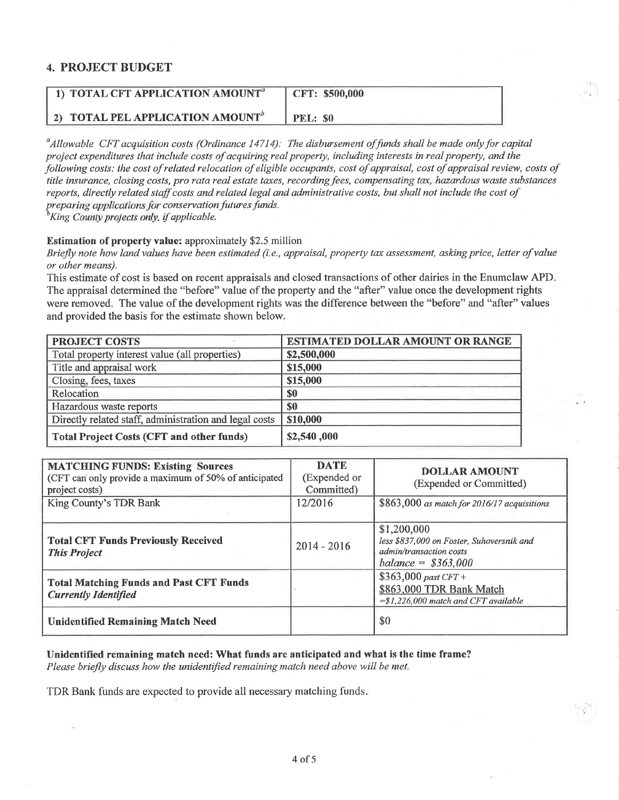## 4. PROJECT BUDGET

| 1) TOTAL CFT APPLICATION AMOUNT <sup>a</sup> | CFT: \$500,000 |
|----------------------------------------------|----------------|
| 2) TOTAL PEL APPLICATION AMOUNT <sup>"</sup> | PEL: \$0       |

 $^a$ Allowable CFT acquisition costs (Ordinance 14714): The disbursement of funds shall be made only for capital project expenditures that include costs of acquiring real property, including interests in real property, and the following costs: the cost of related relocation of eligible occupants, cost of appraisal, cost of appraisal review, costs of title insurance, closing costs, pro rata real estate taxes, recording fees, compensating tax, hazardous waste substances reports, directly related staff costs and related legal and administrative costs, but shall not include the cost of preparing applications for conservation futures funds.<br><sup>b</sup>King County projects only, if applicable.

#### Estimation of property value: approximately \$2.5 million

Briefly note how land values have been estimated (i.e., appraisal, property tax assessment, asking price, letter of value or other means).

This estimate of cost is based on recent appraisals and closed transactions of other dairies in the Enumclaw APD. The appraisal determined the "before" value of the property and the "after" value once the development rights were removed. The value of the development rights was the difference between the "before" and "after" values and provided the basis for the estimate shown below.

| <b>PROJECT COSTS</b>                                   | <b>ESTIMATED DOLLAR AMOUNT OR RANGE</b> |
|--------------------------------------------------------|-----------------------------------------|
| Total property interest value (all properties)         | \$2,500,000                             |
| Title and appraisal work                               | \$15,000                                |
| Closing, fees, taxes                                   | \$15,000                                |
| Relocation                                             | \$0                                     |
| Hazardous waste reports                                | \$0                                     |
| Directly related staff, administration and legal costs | \$10,000                                |
| <b>Total Project Costs (CFT and other funds)</b>       | \$2,540,000                             |

| <b>MATCHING FUNDS: Existing Sources</b><br>(CFT can only provide a maximum of 50% of anticipated<br>project costs) | <b>DATE</b><br>(Expended or<br>Committed) | <b>DOLLAR AMOUNT</b><br>(Expended or Committed)                                                             |
|--------------------------------------------------------------------------------------------------------------------|-------------------------------------------|-------------------------------------------------------------------------------------------------------------|
| King County's TDR Bank                                                                                             | 12/2016                                   | $$863,000$ as match for 2016/17 acquisitions                                                                |
| <b>Total CFT Funds Previously Received</b><br><b>This Project</b>                                                  | $2014 - 2016$                             | \$1,200,000<br>less \$837,000 on Foster, Suhoversnik and<br>admin/transaction costs<br>$balance = $363,000$ |
| <b>Total Matching Funds and Past CFT Funds</b><br><b>Currently Identified</b>                                      |                                           | $$363,000$ past CFT +<br>\$863,000 TDR Bank Match<br>$=\frac{1}{2}$ , 226,000 match and CFT available       |
| <b>Unidentified Remaining Match Need</b>                                                                           |                                           | \$0                                                                                                         |

Unidentified remaining match need: What funds are anticipated and what is the time frame? Please briefly discuss how the unidentified remaining match need above will be met.

TDR Bank funds are expected to provide all necessary matching funds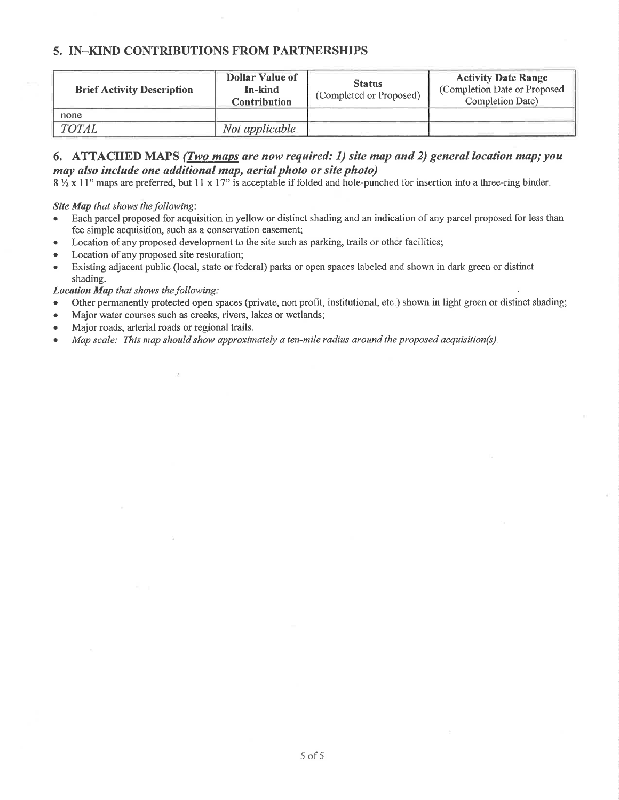## 5. IN-KIND CONTRIBUTIONS FROM PARTNERSHIPS

| <b>Brief Activity Description</b> | <b>Dollar Value of</b><br>In-kind<br><b>Contribution</b> | <b>Status</b><br>(Completed or Proposed) | <b>Activity Date Range</b><br>(Completion Date or Proposed<br>Completion Date) |
|-----------------------------------|----------------------------------------------------------|------------------------------------------|--------------------------------------------------------------------------------|
| none                              |                                                          |                                          |                                                                                |
| <b>TOTAL</b>                      | Not applicable                                           |                                          |                                                                                |

#### 6. ATTACHED MAPS (Two maps are now required: 1) site map and 2) general location map; you may also include one additional map, aerial photo or site photo)

 $8\frac{1}{2} \times 11$ " maps are preferred, but  $11 \times 17$ " is acceptable if folded and hole-punched for insertion into a three-ring binder.

Site Map that shows the following:

- Each parcel proposed for acquisition in yellow or distinct shading and an indication of any parcel proposed for less than fee simple acquisition, such as a conservation easement;
- Location of any proposed development to the site such as parking, trails or other facilities;
- Location of any proposed site restoration;
- Existing adjacent public (local, state or federal) parks or open spaces labeled and shown in dark green or distinct shading.

Location Map that shows the following:

- . Other permanently protected open spaces (private, non profit, institutional, etc.) shown in light green or distinct shading;
- Major water courses such as creeks, rivers, lakes or wetlands;
- Major roads, arterial roads or regional trails.
- . Mqp scqle: This map should show approximately a ten-mile radius around the proposed acquisition(s).